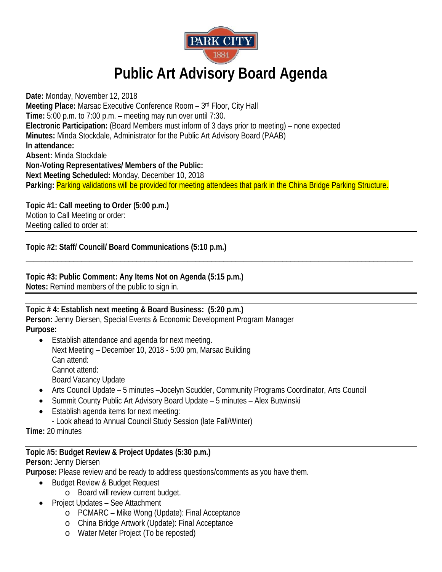

# **Public Art Advisory Board Agenda**

**Date:** Monday, November 12, 2018 **Meeting Place:** Marsac Executive Conference Room – 3rd Floor, City Hall **Time:** 5:00 p.m. to 7:00 p.m. – meeting may run over until 7:30. **Electronic Participation:** (Board Members must inform of 3 days prior to meeting) – none expected **Minutes:** Minda Stockdale, Administrator for the Public Art Advisory Board (PAAB) **In attendance: Absent:** Minda Stockdale **Non-Voting Representatives/ Members of the Public: Next Meeting Scheduled:** Monday, December 10, 2018 **Parking:** Parking validations will be provided for meeting attendees that park in the China Bridge Parking Structure.

\_\_\_\_\_\_\_\_\_\_\_\_\_\_\_\_\_\_\_\_\_\_\_\_\_\_\_\_\_\_\_\_\_\_\_\_\_\_\_\_\_\_\_\_\_\_\_\_\_\_\_\_\_\_\_\_\_\_\_\_\_\_\_\_\_\_\_\_\_\_\_\_\_\_\_\_\_\_\_\_\_\_\_\_\_\_\_\_\_\_\_\_\_\_\_\_\_\_

**Topic #1: Call meeting to Order (5:00 p.m.)** Motion to Call Meeting or order: Meeting called to order at:

**Topic #2: Staff/ Council/ Board Communications (5:10 p.m.)**

**Topic #3: Public Comment: Any Items Not on Agenda (5:15 p.m.) Notes:** Remind members of the public to sign in.

## **Topic # 4: Establish next meeting & Board Business: (5:20 p.m.)**

**Person:** Jenny Diersen, Special Events & Economic Development Program Manager **Purpose:**

- Establish attendance and agenda for next meeting. Next Meeting – December 10, 2018 - 5:00 pm, Marsac Building Can attend: Cannot attend: Board Vacancy Update
- Arts Council Update 5 minutes –Jocelyn Scudder, Community Programs Coordinator, Arts Council
- Summit County Public Art Advisory Board Update 5 minutes Alex Butwinski
- Establish agenda items for next meeting:
	- Look ahead to Annual Council Study Session (late Fall/Winter)

**Time:** 20 minutes

### **Topic #5: Budget Review & Project Updates (5:30 p.m.)**

### **Person:** Jenny Diersen

**Purpose:** Please review and be ready to address questions/comments as you have them.

- Budget Review & Budget Request
	- o Board will review current budget.
- Project Updates See Attachment
	- o PCMARC Mike Wong (Update): Final Acceptance
	- o China Bridge Artwork (Update): Final Acceptance
	- o Water Meter Project (To be reposted)